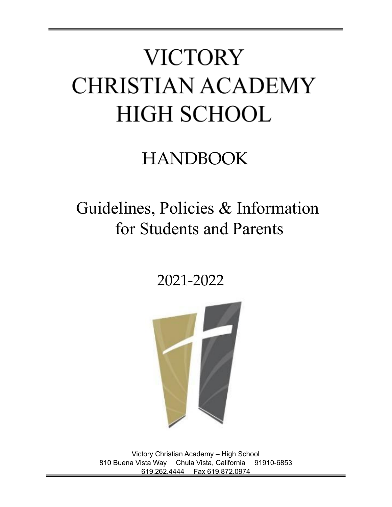# **VICTORY CHRISTIAN ACADEMY HIGH SCHOOL**

## HANDBOOK

### Guidelines, Policies & Information for Students and Parents

2021-2022



Victory Christian Academy – High School 810 Buena Vista Way Chula Vista, California 91910-6853 619.262.4444 Fax 619.872.0974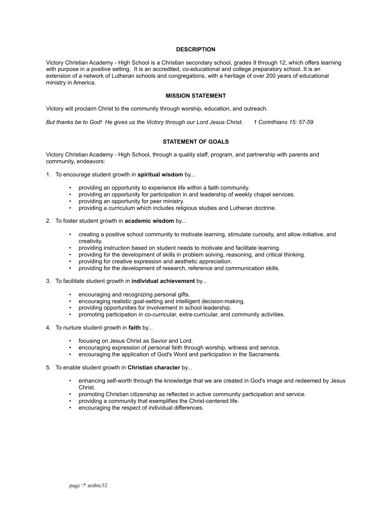#### **DESCRIPTION**

Victory Christian Academy - High School is a Christian secondary school, grades 9 through 12, which offers learning with purpose in a positive setting. It is an accredited, co-educational and college preparatory school. It is an extension of a network of Lutheran schools and congregations, with a heritage of over 200 years of educational ministry in America.

#### **MISSION STATEMENT**

Victory will proclaim Christ to the community through worship, education, and outreach.

*But thanks be to God! He gives us the Victory through our Lord Jesus Christ. 1 Corinthians 15: 57-59*

#### **STATEMENT OF GOALS**

Victory Christian Academy - High School, through a quality staff, program, and partnership with parents and community, endeavors:

- 1. To encourage student growth in **spiritual wisdom** by...
	- providing an opportunity to experience life within a faith community.
	- providing an opportunity for participation in and leadership of weekly chapel services.
	- providing an opportunity for peer ministry.
	- providing a curriculum which includes religious studies and Lutheran doctrine.
- 2. To foster student growth in **academic wisdom** by...
	- creating a positive school community to motivate learning, stimulate curiosity, and allow initiative, and creativity.
	- providing instruction based on student needs to motivate and facilitate learning.
	- providing for the development of skills in problem solving, reasoning, and critical thinking.
	- providing for creative expression and aesthetic appreciation.
	- providing for the development of research, reference and communication skills.
- 3. To facilitate student growth in **individual achievement** by...
	- encouraging and recognizing personal gifts.
	- encouraging realistic goal-setting and intelligent decision-making.
	- providing opportunities for involvement in school leadership.
	- promoting participation in co-curricular, extra-curricular, and community activities.
- 4. To nurture student growth in **faith** by...
	- focusing on Jesus Christ as Savior and Lord.
	- encouraging expression of personal faith through worship, witness and service.
	- encouraging the application of God's Word and participation in the Sacraments.
- 5. To enable student growth in **Christian character** by...
	- enhancing self-worth through the knowledge that we are created in God's image and redeemed by Jesus Christ.
	- promoting Christian citizenship as reflected in active community participation and service.
	- providing a community that exemplifies the Christ-centered life.
	- encouraging the respect of individual differences.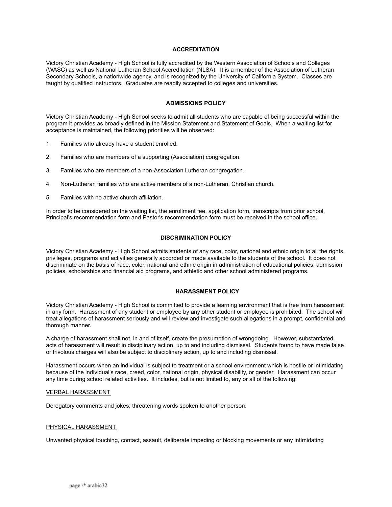#### **ACCREDITATION**

Victory Christian Academy - High School is fully accredited by the Western Association of Schools and Colleges (WASC) as well as National Lutheran School Accreditation (NLSA). It is a member of the Association of Lutheran Secondary Schools, a nationwide agency, and is recognized by the University of California System. Classes are taught by qualified instructors. Graduates are readily accepted to colleges and universities.

#### **ADMISSIONS POLICY**

Victory Christian Academy - High School seeks to admit all students who are capable of being successful within the program it provides as broadly defined in the Mission Statement and Statement of Goals. When a waiting list for acceptance is maintained, the following priorities will be observed:

- 1. Families who already have a student enrolled.
- 2. Families who are members of a supporting (Association) congregation.
- 3. Families who are members of a non-Association Lutheran congregation.
- 4. Non-Lutheran families who are active members of a non-Lutheran, Christian church.
- 5. Families with no active church affiliation.

In order to be considered on the waiting list, the enrollment fee, application form, transcripts from prior school, Principal's recommendation form and Pastor's recommendation form must be received in the school office.

#### **DISCRIMINATION POLICY**

Victory Christian Academy - High School admits students of any race, color, national and ethnic origin to all the rights, privileges, programs and activities generally accorded or made available to the students of the school. It does not discriminate on the basis of race, color, national and ethnic origin in administration of educational policies, admission policies, scholarships and financial aid programs, and athletic and other school administered programs.

#### **HARASSMENT POLICY**

Victory Christian Academy - High School is committed to provide a learning environment that is free from harassment in any form. Harassment of any student or employee by any other student or employee is prohibited. The school will treat allegations of harassment seriously and will review and investigate such allegations in a prompt, confidential and thorough manner.

A charge of harassment shall not, in and of itself, create the presumption of wrongdoing. However, substantiated acts of harassment will result in disciplinary action, up to and including dismissal. Students found to have made false or frivolous charges will also be subject to disciplinary action, up to and including dismissal.

Harassment occurs when an individual is subject to treatment or a school environment which is hostile or intimidating because of the individual's race, creed, color, national origin, physical disability, or gender. Harassment can occur any time during school related activities. It includes, but is not limited to, any or all of the following:

#### VERBAL HARASSMENT

Derogatory comments and jokes; threatening words spoken to another person.

#### PHYSICAL HARASSMENT

Unwanted physical touching, contact, assault, deliberate impeding or blocking movements or any intimidating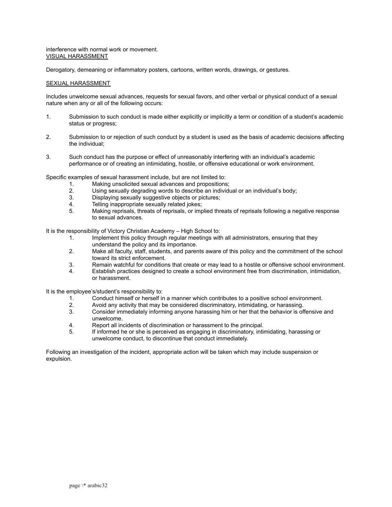interference with normal work or movement. VISUAL HARASSMENT

Derogatory, demeaning or inflammatory posters, cartoons, written words, drawings, or gestures.

#### SEXUAL HARASSMENT

Includes unwelcome sexual advances, requests for sexual favors, and other verbal or physical conduct of a sexual nature when any or all of the following occurs:

- 1. Submission to such conduct is made either explicitly or implicitly a term or condition of a student's academic status or progress;
- 2. Submission to or rejection of such conduct by a student is used as the basis of academic decisions affecting the individual;
- 3. Such conduct has the purpose or effect of unreasonably interfering with an individual's academic performance or of creating an intimidating, hostile, or offensive educational or work environment.

Specific examples of sexual harassment include, but are not limited to:

- 1. Making unsolicited sexual advances and propositions;
- 2. Using sexually degrading words to describe an individual or an individual's body;
- 3. Displaying sexually suggestive objects or pictures;
- 4. Telling inappropriate sexually related jokes;
- 5. Making reprisals, threats of reprisals, or implied threats of reprisals following a negative response to sexual advances.

It is the responsibility of Victory Christian Academy – High School to:

- 1. Implement this policy through regular meetings with all administrators, ensuring that they understand the policy and its importance.
- 2. Make all faculty, staff, students, and parents aware of this policy and the commitment of the school toward its strict enforcement.
- 3. Remain watchful for conditions that create or may lead to a hostile or offensive school environment.
- 4. Establish practices designed to create a school environment free from discrimination, intimidation, or harassment.

It is the employee's/student's responsibility to:

- 1. Conduct himself or herself in a manner which contributes to a positive school environment.
- 2. Avoid any activity that may be considered discriminatory, intimidating, or harassing.
- 3. Consider immediately informing anyone harassing him or her that the behavior is offensive and unwelcome.
- 4. Report all incidents of discrimination or harassment to the principal.
- 5. If informed he or she is perceived as engaging in discriminatory, intimidating, harassing or unwelcome conduct, to discontinue that conduct immediately.

Following an investigation of the incident, appropriate action will be taken which may include suspension or expulsion.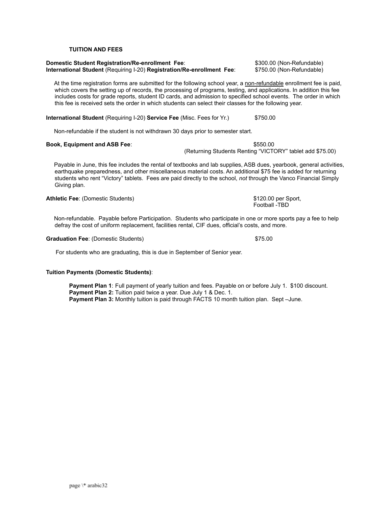page \\* arabic32

#### **TUITION AND FEES**

#### **Domestic Student Registration/Re-enrollment Fee**: \$300.00 (Non-Refundable) **International Student** (Requiring I-20) **Registration/Re-enrollment Fee**: \$750.00 (Non-Refundable)

At the time registration forms are submitted for the following school year, a non-refundable enrollment fee is paid, which covers the setting up of records, the processing of programs, testing, and applications. In addition this fee includes costs for grade reports, student ID cards, and admission to specified school events. The order in which this fee is received sets the order in which students can select their classes for the following year.

**International Student** (Requiring I-20) **Service Fee** (Misc. Fees for Yr.) \$750.00

Non-refundable if the student is not withdrawn 30 days prior to semester start.

#### **Book, Equipment and ASB Fee**: \$550.00

(Returning Students Renting "VICTORY" tablet add \$75.00)

Payable in June, this fee includes the rental of textbooks and lab supplies, ASB dues, yearbook, general activities, earthquake preparedness, and other miscellaneous material costs. An additional \$75 fee is added for returning students who rent "Victory" tablets. Fees are paid directly to the school, *not* through the Vanco Financial Simply Giving plan.

**Athletic Fee**: (Domestic Students) **\$120.00 per Sport,** 

defray the cost of uniform replacement, facilities rental, CIF dues, official's costs, and more.

Non-refundable. Payable before Participation. Students who participate in one or more sports pay a fee to help

#### Graduation Fee: (Domestic Students)  $$75.00$

For students who are graduating, this is due in September of Senior year.

#### **Tuition Payments (Domestic Students)**:

**Payment Plan 1**: Full payment of yearly tuition and fees. Payable on or before July 1. \$100 discount. **Payment Plan 2:** Tuition paid twice a year. Due July 1 & Dec. 1. **Payment Plan 3:** Monthly tuition is paid through FACTS 10 month tuition plan. Sept –June.

Football -TBD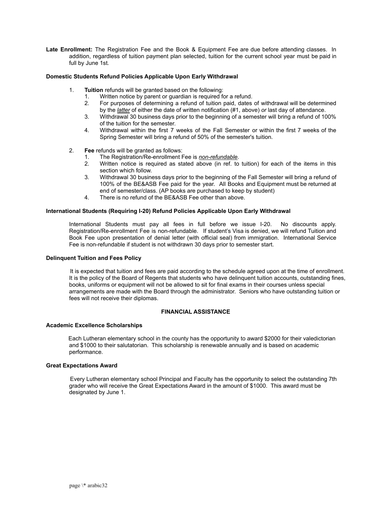**Late Enrollment:** The Registration Fee and the Book & Equipment Fee are due before attending classes. In addition, regardless of tuition payment plan selected, tuition for the current school year must be paid in full by June 1st.

#### **Domestic Students Refund Policies Applicable Upon Early Withdrawal**

- 1. **Tuition** refunds will be granted based on the following:
	- 1. Written notice by parent or guardian is required for a refund.
	- 2. For purposes of determining a refund of tuition paid, dates of withdrawal will be determined by the *latter* of either the date of written notification (#1, above) *or* last day of attendance.
	- 3. Withdrawal 30 business days prior to the beginning of a semester will bring a refund of 100% of the tuition for the semester.
	- 4. Withdrawal within the first 7 weeks of the Fall Semester or within the first 7 weeks of the Spring Semester will bring a refund of 50% of the semester's tuition.
- 2. **Fee** refunds will be granted as follows:
	- 1. The Registration/Re-enrollment Fee is *non-refundable*.
	- 2. Written notice is required as stated above (in ref. to tuition) for each of the items in this section which follow.
	- 3. Withdrawal 30 business days prior to the beginning of the Fall Semester will bring a refund of 100% of the BE&ASB Fee paid for the year. All Books and Equipment must be returned at end of semester/class. (AP books are purchased to keep by student)
	- 4. There is no refund of the BE&ASB Fee other than above.

#### **International Students (Requiring I-20) Refund Policies Applicable Upon Early Withdrawal**

International Students must pay all fees in full before we issue I-20. No discounts apply. Registration/Re-enrollment Fee is non-refundable. If student's Visa is denied, we will refund Tuition and Book Fee upon presentation of denial letter (with official seal) from immigration. International Service Fee is non-refundable if student is not withdrawn 30 days prior to semester start.

#### **Delinquent Tuition and Fees Policy**

It is expected that tuition and fees are paid according to the schedule agreed upon at the time of enrollment. It is the policy of the Board of Regents that students who have delinquent tuition accounts, outstanding fines, books, uniforms or equipment will not be allowed to sit for final exams in their courses unless special arrangements are made with the Board through the administrator. Seniors who have outstanding tuition or fees will not receive their diplomas.

#### **FINANCIAL ASSISTANCE**

#### **Academic Excellence Scholarships**

Each Lutheran elementary school in the county has the opportunity to award \$2000 for their valedictorian and \$1000 to their salutatorian. This scholarship is renewable annually and is based on academic performance.

#### **Great Expectations Award**

Every Lutheran elementary school Principal and Faculty has the opportunity to select the outstanding 7th grader who will receive the Great Expectations Award in the amount of \$1000. This award must be designated by June 1.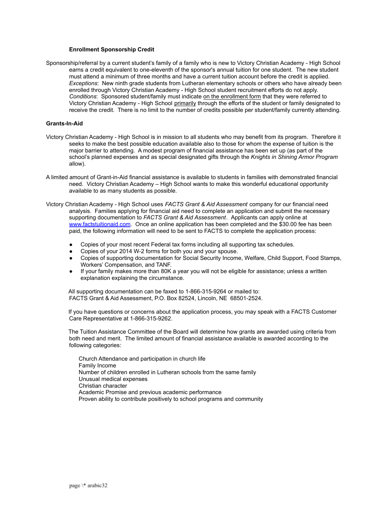#### **Enrollment Sponsorship Credit**

Sponsorship/referral by a current student's family of a family who is new to Victory Christian Academy - High School earns a credit equivalent to one-eleventh of the sponsor's annual tuition for one student. The new student must attend a minimum of three months and have a current tuition account before the credit is applied. *Exceptions*: New ninth grade students from Lutheran elementary schools or others who have already been enrolled through Victory Christian Academy - High School student recruitment efforts do not apply. *Conditions*: Sponsored student/family must indicate on the enrollment form that they were referred to Victory Christian Academy - High School primarily through the efforts of the student or family designated to receive the credit. There is no limit to the number of credits possible per student/family currently attending.

#### **Grants-In-Aid**

- Victory Christian Academy High School is in mission to all students who may benefit from its program. Therefore it seeks to make the best possible education available also to those for whom the expense of tuition is the major barrier to attending. A modest program of financial assistance has been set up (as part of the school's planned expenses and as special designated gifts through the *Knights in Shining Armor Program* allow).
- A limited amount of Grant-in-Aid financial assistance is available to students in families with demonstrated financial need. Victory Christian Academy – High School wants to make this wonderful educational opportunity available to as many students as possible.
- Victory Christian Academy High School uses *FACTS Grant & Aid Assessment* company for our financial need analysis. Families applying for financial aid need to complete an application and submit the necessary supporting documentation to *FACTS Grant & Aid Assessment*. Applicants can apply online at [www.factstuitionaid.com](http://www.factstuitionaid.com). Once an online application has been completed and the \$30.00 fee has been paid, the following information will need to be sent to FACTS to complete the application process:
	- Copies of your most recent Federal tax forms including all supporting tax schedules.
	- Copies of your 2014 W-2 forms for both you and your spouse.
	- Copies of supporting documentation for Social Security Income, Welfare, Child Support, Food Stamps, Workers' Compensation, and TANF.
	- If your family makes more than 80K a year you will not be eligible for assistance; unless a written explanation explaining the circumstance.

All supporting documentation can be faxed to 1-866-315-9264 or mailed to: FACTS Grant & Aid Assessment, P.O. Box 82524, Lincoln, NE 68501-2524.

If you have questions or concerns about the application process, you may speak with a FACTS Customer Care Representative at 1-866-315-9262.

The Tuition Assistance Committee of the Board will determine how grants are awarded using criteria from both need and merit. The limited amount of financial assistance available is awarded according to the following categories:

Church Attendance and participation in church life Family Income Number of children enrolled in Lutheran schools from the same family Unusual medical expenses Christian character Academic Promise and previous academic performance Proven ability to contribute positively to school programs and community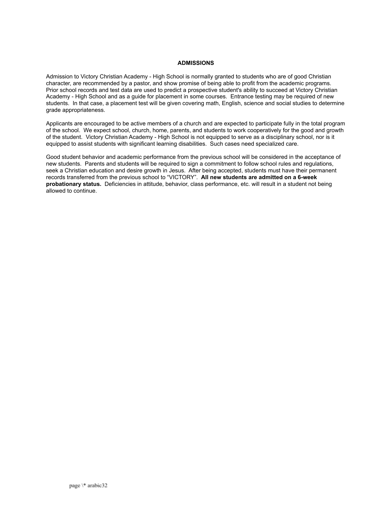#### **ADMISSIONS**

Admission to Victory Christian Academy - High School is normally granted to students who are of good Christian character, are recommended by a pastor, and show promise of being able to profit from the academic programs. Prior school records and test data are used to predict a prospective student's ability to succeed at Victory Christian Academy - High School and as a guide for placement in some courses. Entrance testing may be required of new students. In that case, a placement test will be given covering math, English, science and social studies to determine grade appropriateness.

Applicants are encouraged to be active members of a church and are expected to participate fully in the total program of the school. We expect school, church, home, parents, and students to work cooperatively for the good and growth of the student. Victory Christian Academy - High School is not equipped to serve as a disciplinary school, nor is it equipped to assist students with significant learning disabilities. Such cases need specialized care.

Good student behavior and academic performance from the previous school will be considered in the acceptance of new students. Parents and students will be required to sign a commitment to follow school rules and regulations, seek a Christian education and desire growth in Jesus. After being accepted, students must have their permanent records transferred from the previous school to "VICTORY". **All new students are admitted on a 6-week probationary status.** Deficiencies in attitude, behavior, class performance, etc. will result in a student not being allowed to continue.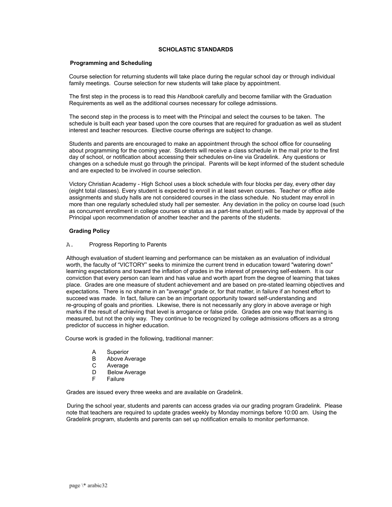#### **SCHOLASTIC STANDARDS**

#### **Programming and Scheduling**

Course selection for returning students will take place during the regular school day or through individual family meetings. Course selection for new students will take place by appointment.

The first step in the process is to read this *Handbook* carefully and become familiar with the Graduation Requirements as well as the additional courses necessary for college admissions.

The second step in the process is to meet with the Principal and select the courses to be taken. The schedule is built each year based upon the core courses that are required for graduation as well as student interest and teacher resources. Elective course offerings are subject to change.

Students and parents are encouraged to make an appointment through the school office for counseling about programming for the coming year. Students will receive a class schedule in the mail prior to the first day of school, or notification about accessing their schedules on-line via Gradelink. Any questions or changes on a schedule must go through the principal. Parents will be kept informed of the student schedule and are expected to be involved in course selection.

Victory Christian Academy - High School uses a block schedule with four blocks per day, every other day (eight total classes). Every student is expected to enroll in at least seven courses. Teacher or office aide assignments and study halls are not considered courses in the class schedule. No student may enroll in more than one regularly scheduled study hall per semester. Any deviation in the policy on course load (such as concurrent enrollment in college courses or status as a part-time student) will be made by approval of the Principal upon recommendation of another teacher and the parents of the students.

#### **Grading Policy**

#### A. Progress Reporting to Parents

Although evaluation of student learning and performance can be mistaken as an evaluation of individual worth, the faculty of "VICTORY" seeks to minimize the current trend in education toward "watering down" learning expectations and toward the inflation of grades in the interest of preserving self-esteem. It is our conviction that every person can learn and has value and worth apart from the degree of learning that takes place. Grades are one measure of student achievement and are based on pre-stated learning objectives and expectations. There is no shame in an "average" grade or, for that matter, in failure if an honest effort to succeed was made. In fact, failure can be an important opportunity toward self-understanding and re-grouping of goals and priorities. Likewise, there is not necessarily any glory in above average or high marks if the result of achieving that level is arrogance or false pride. Grades are one way that learning is measured, but not the only way. They continue to be recognized by college admissions officers as a strong predictor of success in higher education.

Course work is graded in the following, traditional manner:

- A Superior
- B Above Average
- C Average
- D Below Average
- F Failure

Grades are issued every three weeks and are available on Gradelink.

During the school year, students and parents can access grades via our grading program Gradelink. Please note that teachers are required to update grades weekly by Monday mornings before 10:00 am. Using the Gradelink program, students and parents can set up notification emails to monitor performance.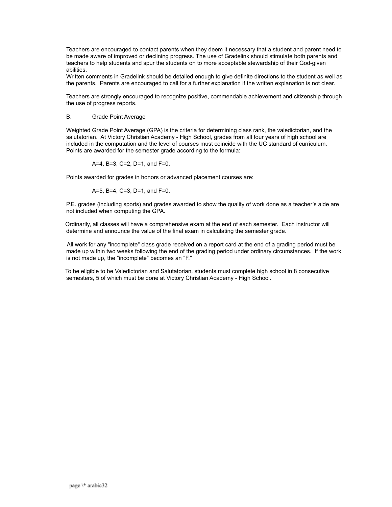Teachers are encouraged to contact parents when they deem it necessary that a student and parent need to be made aware of improved or declining progress. The use of Gradelink should stimulate both parents and teachers to help students and spur the students on to more acceptable stewardship of their God-given abilities.

Written comments in Gradelink should be detailed enough to give definite directions to the student as well as the parents. Parents are encouraged to call for a further explanation if the written explanation is not clear.

Teachers are strongly encouraged to recognize positive, commendable achievement and citizenship through the use of progress reports.

#### B. Grade Point Average

Weighted Grade Point Average (GPA) is the criteria for determining class rank, the valedictorian, and the salutatorian. At Victory Christian Academy - High School, grades from all four years of high school are included in the computation and the level of courses must coincide with the UC standard of curriculum. Points are awarded for the semester grade according to the formula:

A=4, B=3, C=2, D=1, and F=0.

Points awarded for grades in honors or advanced placement courses are:

A=5, B=4, C=3, D=1, and F=0.

P.E. grades (including sports) and grades awarded to show the quality of work done as a teacher's aide are not included when computing the GPA.

Ordinarily, all classes will have a comprehensive exam at the end of each semester. Each instructor will determine and announce the value of the final exam in calculating the semester grade.

All work for any "incomplete" class grade received on a report card at the end of a grading period must be made up within two weeks following the end of the grading period under ordinary circumstances. If the work is not made up, the "incomplete" becomes an "F."

To be eligible to be Valedictorian and Salutatorian, students must complete high school in 8 consecutive semesters, 5 of which must be done at Victory Christian Academy - High School.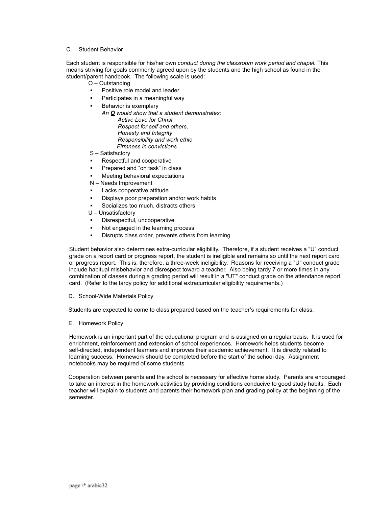#### C. Student Behavior

Each student is responsible for his/her own *conduct during the classroom work period and chapel.* This means striving for goals commonly agreed upon by the students and the high school as found in the student/parent handbook. The following scale is used:

- O Outstanding
- Positive role model and leader
- Participates in a meaningful way
- **Behavior is exemplary** 
	- *An O would show that a student demonstrates: Active Love for Christ Respect for self and others, Honesty and Integrity Responsibility and work ethic Firmness in convictions*
- S Satisfactory
- Respectful and cooperative
- Prepared and "on task" in class
- Meeting behavioral expectations
- N Needs Improvement
- Lacks cooperative attitude
- Displays poor preparation and/or work habits
- Socializes too much, distracts others
- U Unsatisfactory
- Disrespectful, uncooperative
- Not engaged in the learning process
- Disrupts class order, prevents others from learning

Student behavior also determines extra-curricular eligibility. Therefore, if a student receives a "U" conduct grade on a report card or progress report, the student is ineligible and remains so until the next report card or progress report. This is, therefore, a three-week ineligibility. Reasons for receiving a "U" conduct grade include habitual misbehavior and disrespect toward a teacher. Also being tardy 7 or more times in any combination of classes during a grading period will result in a "UT" conduct grade on the attendance report card. (Refer to the tardy policy for additional extracurricular eligibility requirements.)

D. School-Wide Materials Policy

Students are expected to come to class prepared based on the teacher's requirements for class.

E. Homework Policy

Homework is an important part of the educational program and is assigned on a regular basis. It is used for enrichment, reinforcement and extension of school experiences. Homework helps students become self-directed, independent learners and improves their academic achievement. It is directly related to learning success. Homework should be completed before the start of the school day. Assignment notebooks may be required of some students.

Cooperation between parents and the school is necessary for effective home study. Parents are encouraged to take an interest in the homework activities by providing conditions conducive to good study habits. Each teacher will explain to students and parents their homework plan and grading policy at the beginning of the semester.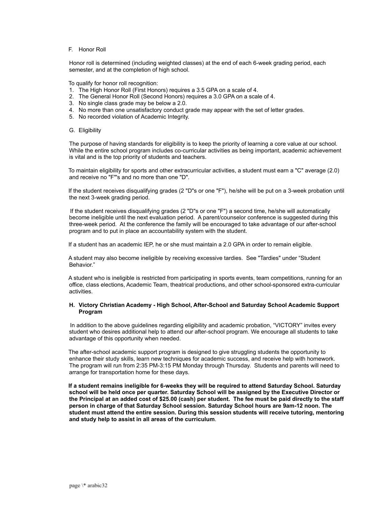#### F. Honor Roll

Honor roll is determined (including weighted classes) at the end of each 6-week grading period, each semester, and at the completion of high school.

To qualify for honor roll recognition:

- 1. The High Honor Roll (First Honors) requires a 3.5 GPA on a scale of 4.
- 2. The General Honor Roll (Second Honors) requires a 3.0 GPA on a scale of 4.
- 3. No single class grade may be below a 2.0.
- 4. No more than one unsatisfactory conduct grade may appear with the set of letter grades.
- 5. No recorded violation of Academic Integrity.
- G. Eligibility

The purpose of having standards for eligibility is to keep the priority of learning a core value at our school. While the entire school program includes co-curricular activities as being important, academic achievement is vital and is the top priority of students and teachers.

To maintain eligibility for sports and other extracurricular activities, a student must earn a "C" average (2.0) and receive no "F"'s and no more than one "D".

If the student receives disqualifying grades (2 "D"s or one "F"), he/she will be put on a 3-week probation until the next 3-week grading period.

If the student receives disqualifying grades (2 "D"s or one "F") a second time, he/she will automatically become ineligible until the next evaluation period. A parent/counselor conference is suggested during this three-week period. At the conference the family will be encouraged to take advantage of our after-school program and to put in place an accountability system with the student.

If a student has an academic IEP, he or she must maintain a 2.0 GPA in order to remain eligible.

A student may also become ineligible by receiving excessive tardies. See "Tardies" under "Student Behavior."

A student who is ineligible is restricted from participating in sports events, team competitions, running for an office, class elections, Academic Team, theatrical productions, and other school-sponsored extra-curricular activities.

#### **H. Victory Christian Academy - High School, After-School and Saturday School Academic Support Program**

In addition to the above guidelines regarding eligibility and academic probation, "VICTORY" invites every student who desires additional help to attend our after-school program. We encourage all students to take advantage of this opportunity when needed.

The after-school academic support program is designed to give struggling students the opportunity to enhance their study skills, learn new techniques for academic success, and receive help with homework. The program will run from 2:35 PM-3:15 PM Monday through Thursday. Students and parents will need to arrange for transportation home for these days.

**If a student remains ineligible for 6-weeks they will be required to attend Saturday School. Saturday school will be held once per quarter. Saturday School will be assigned by the Executive Director or the Principal at an added cost of \$25.00 (cash) per student. The fee must be paid directly to the staff person in charge of that Saturday School session. Saturday School hours are 9am-12 noon. The student must attend the entire session. During this session students will receive tutoring, mentoring and study help to assist in all areas of the curriculum**.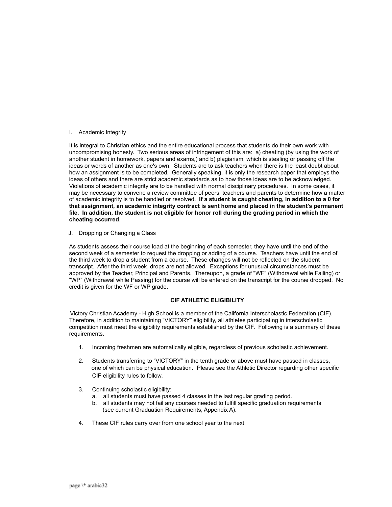#### I. Academic Integrity

It is integral to Christian ethics and the entire educational process that students do their own work with uncompromising honesty. Two serious areas of infringement of this are: a) cheating (by using the work of another student in homework, papers and exams,) and b) plagiarism, which is stealing or passing off the ideas or words of another as one's own. Students are to ask teachers when there is the least doubt about how an assignment is to be completed. Generally speaking, it is only the research paper that employs the ideas of others and there are strict academic standards as to how those ideas are to be acknowledged. Violations of academic integrity are to be handled with normal disciplinary procedures. In some cases, it may be necessary to convene a review committee of peers, teachers and parents to determine how a matter of academic integrity is to be handled or resolved. **If a student is caught cheating, in addition to a 0 for that assignment, an academic integrity contract is sent home and placed in the student's permanent file. In addition, the student is not eligible for honor roll during the grading period in which the cheating occurred**.

J. Dropping or Changing a Class

As students assess their course load at the beginning of each semester, they have until the end of the second week of a semester to request the dropping or adding of a course. Teachers have until the end of the third week to drop a student from a course. These changes will not be reflected on the student transcript. After the third week, drops are not allowed. Exceptions for unusual circumstances must be approved by the Teacher, Principal and Parents. Thereupon, a grade of "WF" (Withdrawal while Failing) or "WP" (Withdrawal while Passing) for the course will be entered on the transcript for the course dropped. No credit is given for the WF or WP grade.

#### **CIF ATHLETIC ELIGIBILITY**

Victory Christian Academy - High School is a member of the California Interscholastic Federation (CIF). Therefore, in addition to maintaining "VICTORY" eligibility, all athletes participating in interscholastic competition must meet the eligibility requirements established by the CIF. Following is a summary of these requirements.

- 1. Incoming freshmen are automatically eligible, regardless of previous scholastic achievement.
- 2. Students transferring to "VICTORY" in the tenth grade or above must have passed in classes, one of which can be physical education. Please see the Athletic Director regarding other specific CIF eligibility rules to follow.
- 3. Continuing scholastic eligibility:
	- a. all students must have passed 4 classes in the last regular grading period.
	- b. all students may not fail any courses needed to fulfill specific graduation requirements (see current Graduation Requirements, Appendix A).
- 4. These CIF rules carry over from one school year to the next.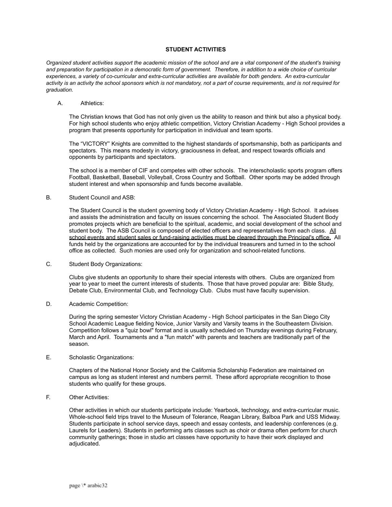#### **STUDENT ACTIVITIES**

Organized student activities support the academic mission of the school and are a vital component of the student's training and preparation for participation in a democratic form of government. Therefore, in addition to a wide choice of curricular experiences, a variety of co-curricular and extra-curricular activities are available for both genders. An extra-curricular activity is an activity the school sponsors which is not mandatory, not a part of course requirements, and is not required for *graduation.*

#### A. Athletics:

The Christian knows that God has not only given us the ability to reason and think but also a physical body. For high school students who enjoy athletic competition, Victory Christian Academy - High School provides a program that presents opportunity for participation in individual and team sports.

The "VICTORY" Knights are committed to the highest standards of sportsmanship, both as participants and spectators. This means modesty in victory, graciousness in defeat, and respect towards officials and opponents by participants and spectators.

The school is a member of CIF and competes with other schools. The interscholastic sports program offers Football, Basketball, Baseball, Volleyball, Cross Country and Softball. Other sports may be added through student interest and when sponsorship and funds become available.

#### B. Student Council and ASB:

The Student Council is the student governing body of Victory Christian Academy - High School. It advises and assists the administration and faculty on issues concerning the school. The Associated Student Body promotes projects which are beneficial to the spiritual, academic, and social development of the school and student body. The ASB Council is composed of elected officers and representatives from each class. All school events and student sales or fund-raising activities must be cleared through the Principal's office. All funds held by the organizations are accounted for by the individual treasurers and turned in to the school office as collected. Such monies are used only for organization and school-related functions.

#### C. Student Body Organizations:

Clubs give students an opportunity to share their special interests with others. Clubs are organized from year to year to meet the current interests of students. Those that have proved popular are: Bible Study, Debate Club, Environmental Club, and Technology Club. Clubs must have faculty supervision.

#### D. Academic Competition:

During the spring semester Victory Christian Academy - High School participates in the San Diego City School Academic League fielding Novice, Junior Varsity and Varsity teams in the Southeastern Division. Competition follows a "quiz bowl" format and is usually scheduled on Thursday evenings during February, March and April. Tournaments and a "fun match" with parents and teachers are traditionally part of the season.

#### E. Scholastic Organizations:

Chapters of the National Honor Society and the California Scholarship Federation are maintained on campus as long as student interest and numbers permit. These afford appropriate recognition to those students who qualify for these groups.

#### F. Other Activities:

Other activities in which our students participate include: Yearbook, technology, and extra-curricular music. Whole-school field trips travel to the Museum of Tolerance, Reagan Library, Balboa Park and USS Midway. Students participate in school service days, speech and essay contests, and leadership conferences (e.g. Laurels for Leaders). Students in performing arts classes such as choir or drama often perform for church community gatherings; those in studio art classes have opportunity to have their work displayed and adjudicated.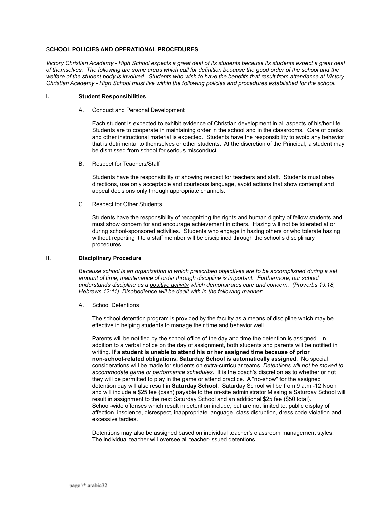#### S**CHOOL POLICIES AND OPERATIONAL PROCEDURES**

*Victory Christian Academy - High School expects a great deal of its students because its students expect a great deal of themselves. The following are some areas which call for definition because the good order of the school and the welfare of the student body is involved. Students who wish to have the benefits that result from attendance at Victory Christian Academy - High School must live within the following policies and procedures established for the school.*

#### **I. Student Responsibilities**

A. Conduct and Personal Development

Each student is expected to exhibit evidence of Christian development in all aspects of his/her life. Students are to cooperate in maintaining order in the school and in the classrooms. Care of books and other instructional material is expected. Students have the responsibility to avoid any behavior that is detrimental to themselves or other students. At the discretion of the Principal, a student may be dismissed from school for serious misconduct.

B. Respect for Teachers/Staff

Students have the responsibility of showing respect for teachers and staff. Students must obey directions, use only acceptable and courteous language, avoid actions that show contempt and appeal decisions only through appropriate channels.

C. Respect for Other Students

Students have the responsibility of recognizing the rights and human dignity of fellow students and must show concern for and encourage achievement in others. Hazing will not be tolerated at or during school-sponsored activities. Students who engage in hazing others or who tolerate hazing without reporting it to a staff member will be disciplined through the school's disciplinary procedures.

#### **II. Disciplinary Procedure**

*Because school is an organization in which prescribed objectives are to be accomplished during a set amount of time, maintenance of order through discipline is important. Furthermore, our school understands discipline as a positive activity which demonstrates care and concern. (Proverbs 19:18, Hebrews 12:11) Disobedience will be dealt with in the following manner:*

A. School Detentions

The school detention program is provided by the faculty as a means of discipline which may be effective in helping students to manage their time and behavior well.

Parents will be notified by the school office of the day and time the detention is assigned. In addition to a verbal notice on the day of assignment, both students and parents will be notified in writing. **If a student is unable to attend his or her assigned time because of prior non-school-related obligations, Saturday School is automatically assigned**. No special considerations will be made for students on extra-curricular teams. *Detentions will not be moved to accommodate game or performance schedules*. It is the coach's discretion as to whether or not they will be permitted to play in the game or attend practice. A "no-show" for the assigned detention day will also result in **Saturday School**. Saturday School will be from 9 a.m.-12 Noon and will include a \$25 fee (cash) payable to the on-site administrator Missing a Saturday School will result in assignment to the next Saturday School and an additional \$25 fee (\$50 total). School-wide offenses which result in detention include, but are not limited to: public display of affection, insolence, disrespect, inappropriate language, class disruption, dress code violation and excessive tardies.

Detentions may also be assigned based on individual teacher's classroom management styles. The individual teacher will oversee all teacher-issued detentions.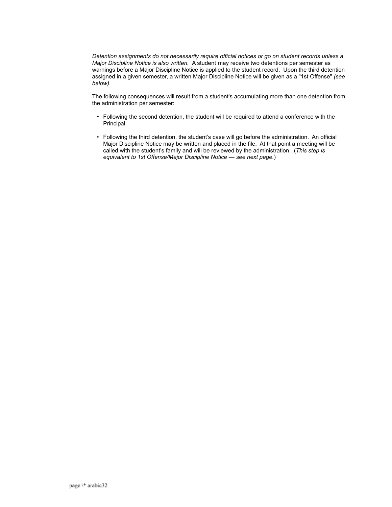*Detention assignments do not necessarily require official notices or go on student records unless a Major Discipline Notice is also written.* A student may receive two detentions per semester as warnings before a Major Discipline Notice is applied to the student record. Upon the third detention assigned in a given semester, a written Major Discipline Notice will be given as a "1st Offense" *(see below)*.

The following consequences will result from a student's accumulating more than one detention from the administration per semester:

- Following the second detention, the student will be required to attend a conference with the Principal.
- Following the third detention, the student's case will go before the administration. An official Major Discipline Notice may be written and placed in the file. At that point a meeting will be called with the student's family and will be reviewed by the administration. (*This step is equivalent to 1st Offense/Major Discipline Notice — see next page.*)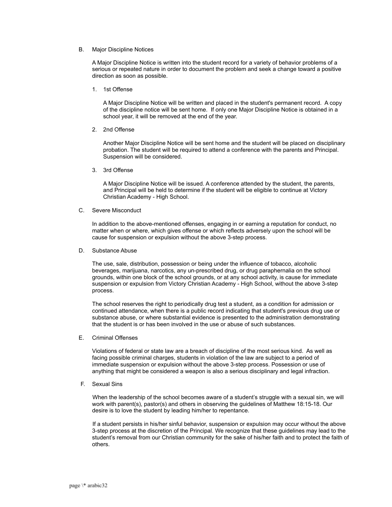#### B. Major Discipline Notices

A Major Discipline Notice is written into the student record for a variety of behavior problems of a serious or repeated nature in order to document the problem and seek a change toward a positive direction as soon as possible.

1. 1st Offense

A Major Discipline Notice will be written and placed in the student's permanent record. A copy of the discipline notice will be sent home. If only one Major Discipline Notice is obtained in a school year, it will be removed at the end of the year.

2. 2nd Offense

Another Major Discipline Notice will be sent home and the student will be placed on disciplinary probation. The student will be required to attend a conference with the parents and Principal. Suspension will be considered.

3. 3rd Offense

A Major Discipline Notice will be issued. A conference attended by the student, the parents, and Principal will be held to determine if the student will be eligible to continue at Victory Christian Academy - High School.

#### C. Severe Misconduct

In addition to the above-mentioned offenses, engaging in or earning a reputation for conduct, no matter when or where, which gives offense or which reflects adversely upon the school will be cause for suspension or expulsion without the above 3-step process.

D. Substance Abuse

The use, sale, distribution, possession or being under the influence of tobacco, alcoholic beverages, marijuana, narcotics, any un-prescribed drug, or drug paraphernalia on the school grounds, within one block of the school grounds, or at any school activity, is cause for immediate suspension or expulsion from Victory Christian Academy - High School, without the above 3-step process.

The school reserves the right to periodically drug test a student, as a condition for admission or continued attendance, when there is a public record indicating that student's previous drug use or substance abuse, or where substantial evidence is presented to the administration demonstrating that the student is or has been involved in the use or abuse of such substances.

E. Criminal Offenses

Violations of federal or state law are a breach of discipline of the most serious kind. As well as facing possible criminal charges, students in violation of the law are subject to a period of immediate suspension or expulsion without the above 3-step process. Possession or use of anything that might be considered a weapon is also a serious disciplinary and legal infraction.

F. Sexual Sins

When the leadership of the school becomes aware of a student's struggle with a sexual sin, we will work with parent(s), pastor(s) and others in observing the guidelines of Matthew 18:15-18. Our desire is to love the student by leading him/her to repentance.

If a student persists in his/her sinful behavior, suspension or expulsion may occur without the above 3-step process at the discretion of the Principal. We recognize that these guidelines may lead to the student's removal from our Christian community for the sake of his/her faith and to protect the faith of others.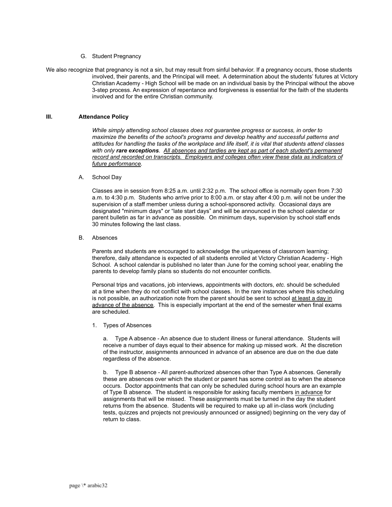#### G. Student Pregnancy

We also recognize that pregnancy is not a sin, but may result from sinful behavior. If a pregnancy occurs, those students involved, their parents, and the Principal will meet. A determination about the students' futures at Victory Christian Academy - High School will be made on an individual basis by the Principal without the above 3-step process. An expression of repentance and forgiveness is essential for the faith of the students involved and for the entire Christian community.

#### **III. Attendance Policy**

*While simply attending school classes does not guarantee progress or success, in order to maximize the benefits of the school's programs and develop healthy and successful patterns and attitudes for handling the tasks of the workplace and life itself, it is vital that students attend classes with only rare exceptions. All absences and tardies are kept as part of each student's permanent record and recorded on transcripts. Employers and colleges often view these data as indicators of future performance.*

#### A. School Day

Classes are in session from 8:25 a.m. until 2:32 p.m. The school office is normally open from 7:30 a.m. to 4:30 p.m. Students who arrive prior to 8:00 a.m. or stay after 4:00 p.m. will not be under the supervision of a staff member unless during a school-sponsored activity. Occasional days are designated "minimum days" or "late start days" and will be announced in the school calendar or parent bulletin as far in advance as possible. On minimum days, supervision by school staff ends 30 minutes following the last class.

#### B. Absences

Parents and students are encouraged to acknowledge the uniqueness of classroom learning; therefore, daily attendance is expected of all students enrolled at Victory Christian Academy - High School. A school calendar is published no later than June for the coming school year, enabling the parents to develop family plans so students do not encounter conflicts.

Personal trips and vacations, job interviews, appointments with doctors, *etc.* should be scheduled at a time when they do not conflict with school classes. In the rare instances where this scheduling is not possible, an authorization note from the parent should be sent to school at least a day in advance of the absence. This is especially important at the end of the semester when final exams are scheduled.

1. Types of Absences

a. Type A absence - An absence due to student illness or funeral attendance. Students will receive a number of days equal to their absence for making up missed work. At the discretion of the instructor, assignments announced in advance of an absence are due on the due date regardless of the absence.

b. Type B absence - All parent-authorized absences other than Type A absences. Generally these are absences over which the student or parent has some control as to when the absence occurs. Doctor appointments that can only be scheduled during school hours are an example of Type B absence. The student is responsible for asking faculty members in advance for assignments that will be missed. These assignments must be turned in the day the student returns from the absence. Students will be required to make up all in-class work (including tests, quizzes and projects not previously announced or assigned) beginning on the very day of return to class.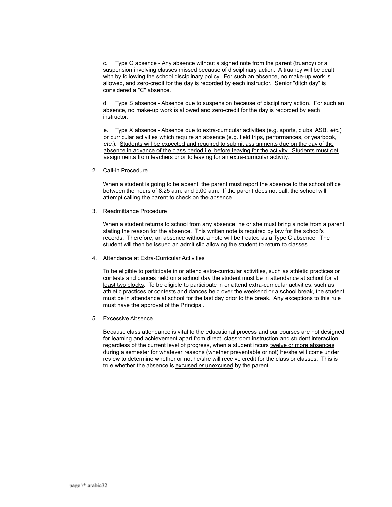c. Type C absence - Any absence without a signed note from the parent (truancy) or a suspension involving classes missed because of disciplinary action. A truancy will be dealt with by following the school disciplinary policy. For such an absence, no make-up work is allowed, and zero-credit for the day is recorded by each instructor. Senior "ditch day" is considered a "C" absence.

d. Type S absence - Absence due to suspension because of disciplinary action. For such an absence, no make-up work is allowed and zero-credit for the day is recorded by each instructor.

e. Type X absence - Absence due to extra-curricular activities (e.g. sports, clubs, ASB, *etc.*) or curricular activities which require an absence (e.g. field trips, performances, or yearbook, *etc.*). Students will be expected and required to submit assignments due on the day of the absence in advance of the class period i.e. before leaving for the activity. Students must get assignments from teachers prior to leaving for an extra-curricular activity.

2. Call-in Procedure

When a student is going to be absent, the parent must report the absence to the school office between the hours of 8:25 a.m. and 9:00 a.m. If the parent does not call, the school will attempt calling the parent to check on the absence.

3. Readmittance Procedure

When a student returns to school from any absence, he or she must bring a note from a parent stating the reason for the absence. This written note is required by law for the school's records. Therefore, an absence without a note will be treated as a Type C absence. The student will then be issued an admit slip allowing the student to return to classes.

4. Attendance at Extra-Curricular Activities

To be eligible to participate in or attend extra-curricular activities, such as athletic practices or contests and dances held on a school day the student must be in attendance at school for at least two blocks. To be eligible to participate in or attend extra-curricular activities, such as athletic practices or contests and dances held over the weekend or a school break, the student must be in attendance at school for the last day prior to the break. Any exceptions to this rule must have the approval of the Principal.

5. Excessive Absence

Because class attendance is vital to the educational process and our courses are not designed for learning and achievement apart from direct, classroom instruction and student interaction, regardless of the current level of progress, when a student incurs twelve or more absences during a semester for whatever reasons (whether preventable or not) he/she will come under review to determine whether or not he/she will receive credit for the class or classes. This is true whether the absence is excused *or* unexcused by the parent.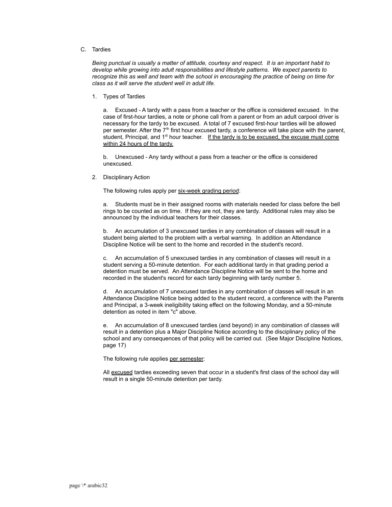#### C. Tardies

*Being punctual is usually a matter of attitude, courtesy and respect. It is an important habit to develop while growing into adult responsibilities and lifestyle patterns. We expect parents to recognize this as well and team with the school in encouraging the practice of being on time for class as it will serve the student well in adult life.*

1. Types of Tardies

a. Excused - A tardy with a pass from a teacher or the office is considered excused. In the case of first-hour tardies, a note or phone call from a parent or from an adult carpool driver is necessary for the tardy to be excused. A total of 7 excused first-hour tardies will be allowed per semester. After the  $7<sup>th</sup>$  first hour excused tardy, a conference will take place with the parent, student, Principal, and  $1<sup>st</sup>$  hour teacher. If the tardy is to be excused, the excuse must come within 24 hours of the tardy.

b. Unexcused - Any tardy without a pass from a teacher or the office is considered unexcused.

2. Disciplinary Action

The following rules apply per six-week grading period:

a. Students must be in their assigned rooms with materials needed for class before the bell rings to be counted as on time. If they are not, they are tardy. Additional rules may also be announced by the individual teachers for their classes.

b. An accumulation of 3 unexcused tardies in any combination of classes will result in a student being alerted to the problem with a verbal warning. In addition an Attendance Discipline Notice will be sent to the home and recorded in the student's record.

c. An accumulation of 5 unexcused tardies in any combination of classes will result in a student serving a 50-minute detention. For each additional tardy in that grading period a detention must be served. An Attendance Discipline Notice will be sent to the home and recorded in the student's record for each tardy beginning with tardy number 5.

d. An accumulation of 7 unexcused tardies in any combination of classes will result in an Attendance Discipline Notice being added to the student record, a conference with the Parents and Principal, a 3-week ineligibility taking effect on the following Monday, and a 50-minute detention as noted in item "c" above.

e. An accumulation of 8 unexcused tardies (and beyond) in any combination of classes will result in a detention plus a Major Discipline Notice according to the disciplinary policy of the school and any consequences of that policy will be carried out. (See Major Discipline Notices, page 17)

The following rule applies per semester:

All excused tardies exceeding seven that occur in a student's first class of the school day will result in a single 50-minute detention per tardy.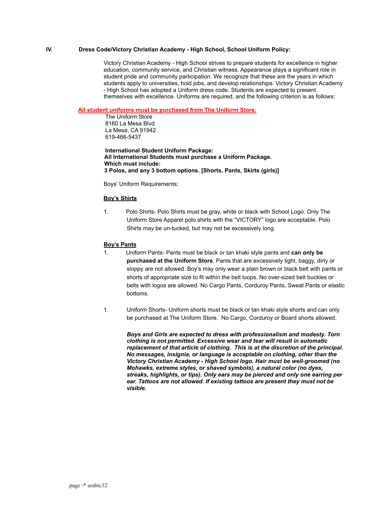#### **IV. Dress Code/Victory Christian Academy - High School, School Uniform Policy:**

Victory Christian Academy - High School strives to prepare students for excellence in higher education, community service, and Christian witness. Appearance plays a significant role in student pride and community participation. We recognize that these are the years in which students apply to universities, hold jobs, and develop relationships. Victory Christian Academy - High School has adopted a Uniform dress code. Students are expected to present themselves with excellence. Uniforms are required, and the following criterion is as follows:

#### **All student uniforms must be purchased from The Uniform Store.**

The Uniform Store 8160 La Mesa Blvd La Mesa, CA 91942 619-466-5437

**International Student Uniform Package: All International Students must purchase a Uniform Package. Which must include: 3 Polos, and any 3 bottom options. [Shorts, Pants, Skirts (girls)]**

Boys' Uniform Requirements:

#### **Boy's Shirts**

1. Polo Shirts- Polo Shirts must be gray, white or black with School Logo. Only The Uniform Store Apparel polo shirts with the "VICTORY" logo are acceptable. Polo Shirts may be un-tucked, but may not be excessively long.

#### **Boy's Pants**

- 1. Uniform Pants- Pants must be black or tan khaki style pants and **can only be purchased at the Uniform Store**. Pants that are excessively tight, baggy, dirty or sloppy are not allowed. Boy's may only wear a plain brown or black belt with pants or shorts of appropriate size to fit within the belt loops. No over-sized belt buckles or belts with logos are allowed. No Cargo Pants, Corduroy Pants, Sweat Pants or elastic bottoms.
- 1. Uniform Shorts- Uniform shorts must be black or tan khaki style shorts and can only be purchased at The Uniform Store. No Cargo, Corduroy or Board shorts allowed.

*Boys and Girls are expected to dress with professionalism and modesty. Torn clothing is not permitted. Excessive wear and tear will result in automatic replacement of that article of clothing. This is at the discretion of the principal. No messages, insignia, or language is acceptable on clothing, other than the Victory Christian Academy - High School logo. Hair must be well-groomed (no Mohawks, extreme styles, or shaved symbols), a natural color (no dyes, streaks, highlights, or tips). Only ears may be pierced and only one earring per ear. Tattoos are not allowed. If existing tattoos are present they must not be visible.*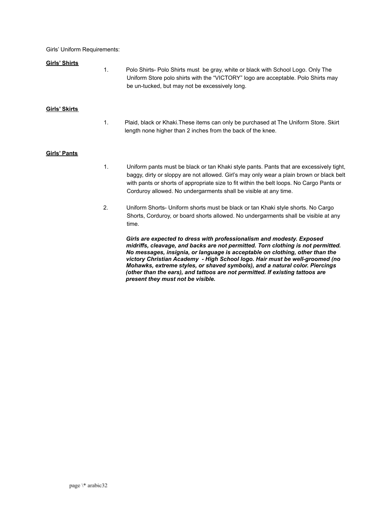Girls' Uniform Requirements:

#### **Girls' Shirts**

1. Polo Shirts- Polo Shirts must be gray, white or black with School Logo. Only The Uniform Store polo shirts with the "VICTORY" logo are acceptable. Polo Shirts may be un-tucked, but may not be excessively long.

#### **Girls' Skirts**

1. Plaid, black or Khaki.These items can only be purchased at The Uniform Store. Skirt length none higher than 2 inches from the back of the knee.

#### **Girls' Pants**

- 1. Uniform pants must be black or tan Khaki style pants. Pants that are excessively tight, baggy, dirty or sloppy are not allowed. Girl's may only wear a plain brown or black belt with pants or shorts of appropriate size to fit within the belt loops. No Cargo Pants or Corduroy allowed. No undergarments shall be visible at any time.
- 2. Uniform Shorts- Uniform shorts must be black or tan Khaki style shorts. No Cargo Shorts, Corduroy, or board shorts allowed. No undergarments shall be visible at any time.

*Girls are expected to dress with professionalism and modesty. Exposed midriffs, cleavage, and backs are not permitted. Torn clothing is not permitted. No messages, insignia, or language is acceptable on clothing, other than the victory Christian Academy - High School logo. Hair must be well-groomed (no Mohawks, extreme styles, or shaved symbols), and a natural color. Piercings (other than the ears), and tattoos are not permitted. If existing tattoos are present they must not be visible.*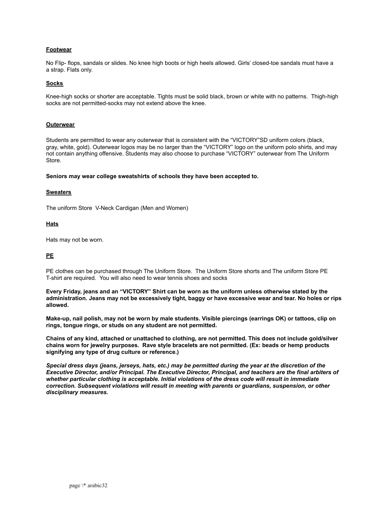#### **Footwear**

No Flip- flops, sandals or slides. No knee high boots or high heels allowed. Girls' closed-toe sandals must have a a strap. Flats only.

#### **Socks**

Knee-high socks or shorter are acceptable. Tights must be solid black, brown or white with no patterns. Thigh-high socks are not permitted-socks may not extend above the knee.

#### **Outerwear**

Students are permitted to wear any outerwear that is consistent with the "VICTORY"SD uniform colors (black, gray, white, gold). Outerwear logos may be no larger than the "VICTORY" logo on the uniform polo shirts, and may not contain anything offensive. Students may also choose to purchase "VICTORY" outerwear from The Uniform Store.

**Seniors may wear college sweatshirts of schools they have been accepted to.**

#### **Sweaters**

The uniform Store V-Neck Cardigan (Men and Women)

#### **Hats**

Hats may not be worn.

#### **PE**

PE clothes can be purchased through The Uniform Store. The Uniform Store shorts and The uniform Store PE T-shirt are required. You will also need to wear tennis shoes and socks

**Every Friday, jeans and an "VICTORY" Shirt can be worn as the uniform unless otherwise stated by the administration. Jeans may not be excessively tight, baggy or have excessive wear and tear. No holes or rips allowed.**

**Make-up, nail polish, may not be worn by male students. Visible piercings (earrings OK) or tattoos, clip on rings, tongue rings, or studs on any student are not permitted.**

**Chains of any kind, attached or unattached to clothing, are not permitted. This does not include gold/silver chains worn for jewelry purposes. Rave style bracelets are not permitted. (Ex: beads or hemp products signifying any type of drug culture or reference.)**

*Special dress days (jeans, jerseys, hats, etc.) may be permitted during the year at the discretion of the Executive Director, and/or Principal. The Executive Director, Principal, and teachers are the final arbiters of whether particular clothing is acceptable. Initial violations of the dress code will result in immediate correction. Subsequent violations will result in meeting with parents or guardians, suspension, or other disciplinary measures.*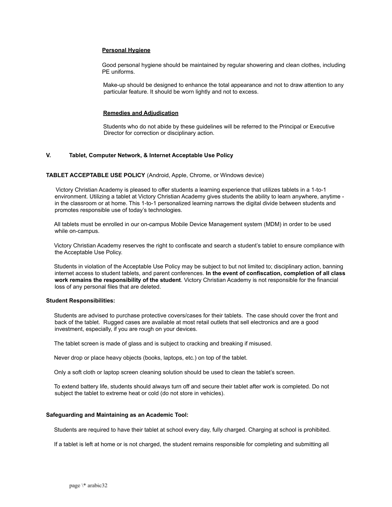#### **Personal Hygiene**

Good personal hygiene should be maintained by regular showering and clean clothes, including PE uniforms.

Make-up should be designed to enhance the total appearance and not to draw attention to any particular feature. It should be worn lightly and not to excess.

#### **Remedies and Adjudication**

Students who do not abide by these guidelines will be referred to the Principal or Executive Director for correction or disciplinary action.

#### **V. Tablet, Computer Network, & Internet Acceptable Use Policy**

#### **TABLET ACCEPTABLE USE POLICY** (Android, Apple, Chrome, or Windows device)

Victory Christian Academy is pleased to offer students a learning experience that utilizes tablets in a 1-to-1 environment. Utilizing a tablet at Victory Christian Academy gives students the ability to learn anywhere, anytime in the classroom or at home. This 1-to-1 personalized learning narrows the digital divide between students and promotes responsible use of today's technologies.

All tablets must be enrolled in our on-campus Mobile Device Management system (MDM) in order to be used while on-campus.

Victory Christian Academy reserves the right to confiscate and search a student's tablet to ensure compliance with the Acceptable Use Policy.

Students in violation of the Acceptable Use Policy may be subject to but not limited to; disciplinary action, banning internet access to student tablets, and parent conferences. **In the event of confiscation, completion of all class work remains the responsibility of the student**. Victory Christian Academy is not responsible for the financial loss of any personal files that are deleted.

#### **Student Responsibilities:**

Students are advised to purchase protective covers/cases for their tablets. The case should cover the front and back of the tablet. Rugged cases are available at most retail outlets that sell electronics and are a good investment, especially, if you are rough on your devices.

The tablet screen is made of glass and is subject to cracking and breaking if misused.

Never drop or place heavy objects (books, laptops, etc.) on top of the tablet.

Only a soft cloth or laptop screen cleaning solution should be used to clean the tablet's screen.

To extend battery life, students should always turn off and secure their tablet after work is completed. Do not subject the tablet to extreme heat or cold (do not store in vehicles).

#### **Safeguarding and Maintaining as an Academic Tool:**

Students are required to have their tablet at school every day, fully charged. Charging at school is prohibited.

If a tablet is left at home or is not charged, the student remains responsible for completing and submitting all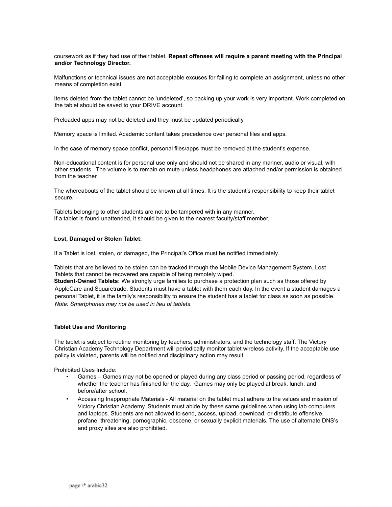#### coursework as if they had use of their tablet. **Repeat offenses will require a parent meeting with the Principal and/or Technology Director.**

Malfunctions or technical issues are not acceptable excuses for failing to complete an assignment, unless no other means of completion exist.

Items deleted from the tablet cannot be 'undeleted', so backing up your work is very important. Work completed on the tablet should be saved to your DRIVE account.

Preloaded apps may not be deleted and they must be updated periodically.

Memory space is limited. Academic content takes precedence over personal files and apps.

In the case of memory space conflict, personal files/apps must be removed at the student's expense.

Non-educational content is for personal use only and should not be shared in any manner, audio or visual, with other students. The volume is to remain on mute unless headphones are attached and/or permission is obtained from the teacher.

The whereabouts of the tablet should be known at all times. It is the student's responsibility to keep their tablet secure.

Tablets belonging to other students are not to be tampered with in any manner. If a tablet is found unattended, it should be given to the nearest faculty/staff member.

#### **Lost, Damaged or Stolen Tablet:**

If a Tablet is lost, stolen, or damaged, the Principal's Office must be notified immediately.

Tablets that are believed to be stolen can be tracked through the Mobile Device Management System. Lost Tablets that cannot be recovered are capable of being remotely wiped.

**Student-Owned Tablets:** We strongly urge families to purchase a protection plan such as those offered by AppleCare and Squaretrade. Students must have a tablet with them each day. In the event a student damages a personal Tablet, it is the family's responsibility to ensure the student has a tablet for class as soon as possible. *Note: Smartphones may not be used in lieu of tablets*.

#### **Tablet Use and Monitoring**

The tablet is subject to routine monitoring by teachers, administrators, and the technology staff. The Victory Christian Academy Technology Department will periodically monitor tablet wireless activity. If the acceptable use policy is violated, parents will be notified and disciplinary action may result.

Prohibited Uses Include:

- Games Games may not be opened or played during any class period or passing period, regardless of whether the teacher has finished for the day. Games may only be played at break, lunch, and before/after school.
- Accessing Inappropriate Materials All material on the tablet must adhere to the values and mission of Victory Christian Academy. Students must abide by these same guidelines when using lab computers and laptops. Students are not allowed to send, access, upload, download, or distribute offensive, profane, threatening, pornographic, obscene, or sexually explicit materials. The use of alternate DNS's and proxy sites are also prohibited.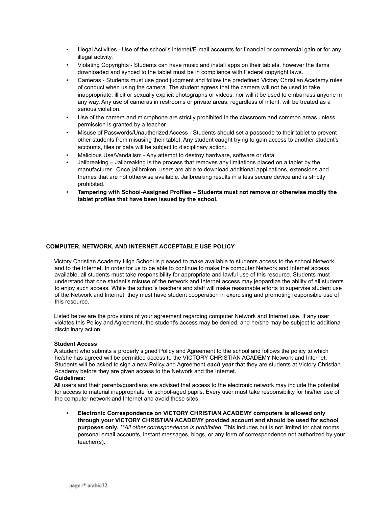- Illegal Activities Use of the school's internet/E-mail accounts for financial or commercial gain or for any illegal activity.
- Violating Copyrights Students can have music and install apps on their tablets, however the items downloaded and synced to the tablet must be in compliance with Federal copyright laws.
- Cameras Students must use good judgment and follow the predefined Victory Christian Academy rules of conduct when using the camera. The student agrees that the camera will not be used to take inappropriate, illicit or sexually explicit photographs or videos, nor will it be used to embarrass anyone in any way. Any use of cameras in restrooms or private areas, regardless of intent, will be treated as a serious violation.
- Use of the camera and microphone are strictly prohibited in the classroom and common areas unless permission is granted by a teacher.
- Misuse of Passwords/Unauthorized Access Students should set a passcode to their tablet to prevent other students from misusing their tablet. Any student caught trying to gain access to another student's accounts, files or data will be subject to disciplinary action.
- Malicious Use/Vandalism Any attempt to destroy hardware, software or data.
- Jailbreaking Jailbreaking is the process that removes any limitations placed on a tablet by the manufacturer. Once jailbroken, users are able to download additional applications, extensions and themes that are not otherwise available. Jailbreaking results in a less secure device and is strictly prohibited.
- **Tampering with School-Assigned Profiles Students must not remove or otherwise modify the tablet profiles that have been issued by the school.**

#### **COMPUTER, NETWORK, AND INTERNET ACCEPTABLE USE POLICY**

Victory Christian Academy High School is pleased to make available to students access to the school Network and to the Internet. In order for us to be able to continue to make the computer Network and Internet access available, all students must take responsibility for appropriate and lawful use of this resource. Students must understand that one student's misuse of the network and Internet access may jeopardize the ability of all students to enjoy such access. While the school's teachers and staff will make reasonable efforts to supervise student use of the Network and Internet, they must have student cooperation in exercising and promoting responsible use of this resource.

Listed below are the provisions of your agreement regarding computer Network and Internet use. If any user violates this Policy and Agreement, the student's access may be denied, and he/she may be subject to additional disciplinary action.

#### **Student Access**

A student who submits a properly signed Policy and Agreement to the school and follows the policy to which he/she has agreed will be permitted access to the VICTORY CHRISTIAN ACADEMY Network and Internet. Students will be asked to sign a new Policy and Agreement *each year* that they are students at Victory Christian Academy before they are given access to the Network and the Internet.

#### **Guidelines:**

All users and their parents/guardians are advised that access to the electronic network may include the potential for access to material inappropriate for school-aged pupils. Every user must take responsibility for his/her use of the computer network and Internet and avoid these sites.

• **Electronic Correspondence on VICTORY CHRISTIAN ACADEMY computers is allowed only through your VICTORY CHRISTIAN ACADEMY provided account and should be used for school purposes only.** *\*\*All other correspondence is prohibited.* This includes but is not limited to: chat rooms, personal email accounts, instant messages, blogs, or any form of correspondence not authorized by your teacher(s).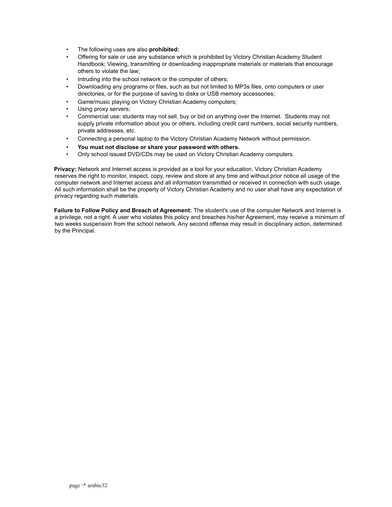- The following uses are also **prohibited:**
- Offering for sale or use any substance which is prohibited by Victory Christian Academy Student Handbook; Viewing, transmitting or downloading inappropriate materials or materials that encourage others to violate the law;
- Intruding into the school network or the computer of others;
- Downloading any programs or files, such as but not limited to MP3s files, onto computers or user directories, or for the purpose of saving to disks or USB memory accessories;
- Game/music playing on Victory Christian Academy computers;
- Using proxy servers;
- Commercial use; students may not sell, buy or bid on anything over the Internet. Students may not supply private information about you or others, including credit card numbers, social security numbers, private addresses, etc.
- Connecting a personal laptop to the Victory Christian Academy Network without permission.
- **You must not disclose or share your password with others.**
- Only school issued DVD/CDs may be used on Victory Christian Academy computers.

**Privacy:** Network and Internet access is provided as a tool for your education. Victory Christian Academy reserves the right to monitor, inspect, copy, review and store at any time and without prior notice all usage of the computer network and Internet access and all information transmitted or received in connection with such usage. All such information shall be the property of Victory Christian Academy and no user shall have any expectation of privacy regarding such materials.

**Failure to Follow Policy and Breach of Agreement:** The student's use of the computer Network and Internet is a privilege, not a right. A user who violates this policy and breaches his/her Agreement, may receive a minimum of two weeks suspension from the school network. Any second offense may result in disciplinary action, determined by the Principal.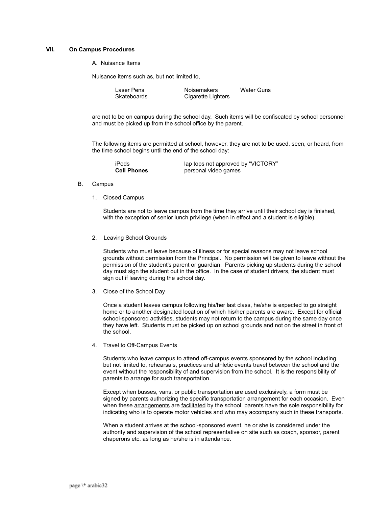#### **VII. On Campus Procedures**

A. Nuisance Items

Nuisance items such as, but not limited to,

| Laser Pens  | <b>Noisemakers</b> | <b>Water Guns</b> |
|-------------|--------------------|-------------------|
| Skateboards | Cigarette Lighters |                   |

are not to be on campus during the school day. Such items will be confiscated by school personnel and must be picked up from the school office by the parent.

The following items are permitted at school, however, they are not to be used, seen, or heard, from the time school begins until the end of the school day:

| iPods              | lap tops not approved by "VICTORY" |
|--------------------|------------------------------------|
| <b>Cell Phones</b> | personal video games               |

- B. Campus
	- 1. Closed Campus

Students are not to leave campus from the time they arrive until their school day is finished, with the exception of senior lunch privilege (when in effect and a student is eligible).

2. Leaving School Grounds

Students who must leave because of illness or for special reasons may not leave school grounds without permission from the Principal. No permission will be given to leave without the permission of the student's parent or guardian. Parents picking up students during the school day must sign the student out in the office. In the case of student drivers, the student must sign out if leaving during the school day.

3. Close of the School Day

Once a student leaves campus following his/her last class, he/she is expected to go straight home or to another designated location of which his/her parents are aware. Except for official school-sponsored activities, students may not return to the campus during the same day once they have left. Students must be picked up on school grounds and not on the street in front of the school.

4. Travel to Off-Campus Events

Students who leave campus to attend off-campus events sponsored by the school including, but not limited to, rehearsals, practices and athletic events travel between the school and the event without the responsibility of and supervision from the school. It is the responsibility of parents to arrange for such transportation.

Except when busses, vans, or public transportation are used exclusively, a form must be signed by parents authorizing the specific transportation arrangement for each occasion. Even when these arrangements are facilitated by the school, parents have the sole responsibility for indicating who is to operate motor vehicles and who may accompany such in these transports.

When a student arrives at the school-sponsored event, he or she is considered under the authority and supervision of the school representative on site such as coach, sponsor, parent chaperons etc. as long as he/she is in attendance.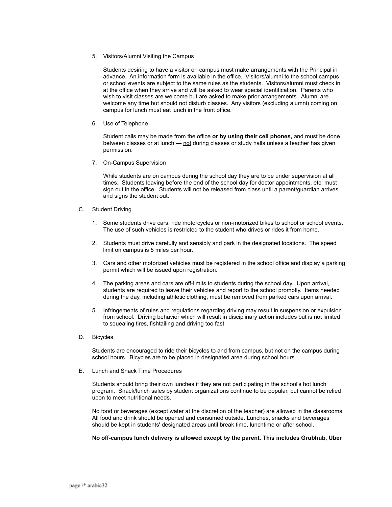5. Visitors/Alumni Visiting the Campus

Students desiring to have a visitor on campus must make arrangements with the Principal in advance. An information form is available in the office. Visitors/alumni to the school campus or school events are subject to the same rules as the students. Visitors/alumni must check in at the office when they arrive and will be asked to wear special identification. Parents who wish to visit classes are welcome but are asked to make prior arrangements. Alumni are welcome any time but should not disturb classes. Any visitors (excluding alumni) coming on campus for lunch must eat lunch in the front office.

6. Use of Telephone

Student calls may be made from the office **or by using their cell phones,** and must be done between classes or at lunch — not during classes or study halls unless a teacher has given permission.

7. On-Campus Supervision

While students are on campus during the school day they are to be under supervision at all times. Students leaving before the end of the school day for doctor appointments, etc. must sign out in the office. Students will not be released from class until a parent/guardian arrives and signs the student out.

- C. Student Driving
	- 1. Some students drive cars, ride motorcycles or non-motorized bikes to school or school events. The use of such vehicles is restricted to the student who drives or rides it from home.
	- 2. Students must drive carefully and sensibly and park in the designated locations. The speed limit on campus is 5 miles per hour.
	- 3. Cars and other motorized vehicles must be registered in the school office and display a parking permit which will be issued upon registration.
	- 4. The parking areas and cars are off-limits to students during the school day. Upon arrival, students are required to leave their vehicles and report to the school promptly. Items needed during the day, including athletic clothing, must be removed from parked cars upon arrival.
	- 5. Infringements of rules and regulations regarding driving may result in suspension or expulsion from school. Driving behavior which will result in disciplinary action includes but is not limited to squealing tires, fishtailing and driving too fast.
- D. Bicycles

Students are encouraged to ride their bicycles to and from campus, but not on the campus during school hours. Bicycles are to be placed in designated area during school hours.

E. Lunch and Snack Time Procedures

Students should bring their own lunches if they are not participating in the school's hot lunch program. Snack/lunch sales by student organizations continue to be popular, but cannot be relied upon to meet nutritional needs.

No food or beverages (except water at the discretion of the teacher) are allowed in the classrooms. All food and drink should be opened and consumed outside. Lunches, snacks and beverages should be kept in students' designated areas until break time, lunchtime or after school.

**No off-campus lunch delivery is allowed except by the parent. This includes Grubhub, Uber**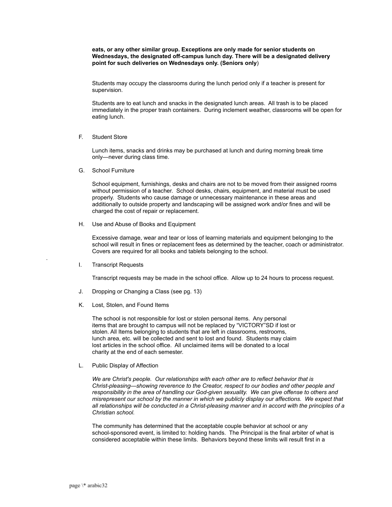**eats, or any other similar group. Exceptions are only made for senior students on Wednesdays, the designated off-campus lunch day. There will be a designated delivery point for such deliveries on Wednesdays only. (Seniors only**)

Students may occupy the classrooms during the lunch period only if a teacher is present for supervision.

Students are to eat lunch and snacks in the designated lunch areas. All trash is to be placed immediately in the proper trash containers. During inclement weather, classrooms will be open for eating lunch.

#### F. Student Store

Lunch items, snacks and drinks may be purchased at lunch and during morning break time only—never during class time.

G. School Furniture

School equipment, furnishings, desks and chairs are not to be moved from their assigned rooms without permission of a teacher. School desks, chairs, equipment, and material must be used properly. Students who cause damage or unnecessary maintenance in these areas and additionally to outside property and landscaping will be assigned work and/or fines and will be charged the cost of repair or replacement.

H. Use and Abuse of Books and Equipment

Excessive damage, wear and tear or loss of learning materials and equipment belonging to the school will result in fines or replacement fees as determined by the teacher, coach or administrator. Covers are required for all books and tablets belonging to the school.

I. Transcript Requests

.

Transcript requests may be made in the school office. Allow up to 24 hours to process request.

- J. Dropping or Changing a Class (see pg. 13)
- K. Lost, Stolen, and Found Items

The school is not responsible for lost or stolen personal items. Any personal items that are brought to campus will not be replaced by "VICTORY"SD if lost or stolen. All Items belonging to students that are left in classrooms, restrooms, lunch area, etc. will be collected and sent to lost and found. Students may claim lost articles in the school office. All unclaimed items will be donated to a local charity at the end of each semester.

L. Public Display of Affection

*We are Christ's people. Our relationships with each other are to reflect behavior that is Christ-pleasing—showing reverence to the Creator, respect to our bodies and other people and responsibility in the area of handling our God-given sexuality. We can give offense to others and misrepresent our school by the manner in which we publicly display our affections. We expect that all relationships will be conducted in a Christ-pleasing manner and in accord with the principles of a Christian school.*

The community has determined that the acceptable couple behavior at school or any school-sponsored event, is limited to: holding hands. The Principal is the final arbiter of what is considered acceptable within these limits. Behaviors beyond these limits will result first in a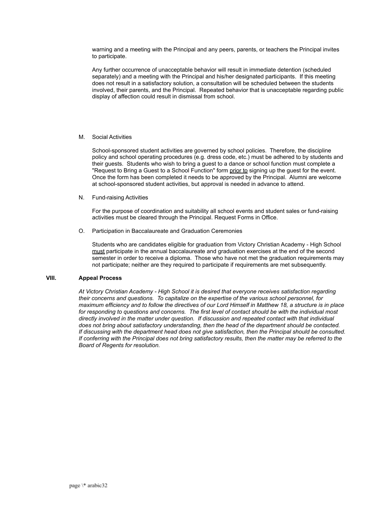warning and a meeting with the Principal and any peers, parents, or teachers the Principal invites to participate.

Any further occurrence of unacceptable behavior will result in immediate detention (scheduled separately) and a meeting with the Principal and his/her designated participants. If this meeting does not result in a satisfactory solution, a consultation will be scheduled between the students involved, their parents, and the Principal. Repeated behavior that is unacceptable regarding public display of affection could result in dismissal from school.

#### M. Social Activities

School-sponsored student activities are governed by school policies. Therefore, the discipline policy and school operating procedures (e.g. dress code, etc.) must be adhered to by students and their guests. Students who wish to bring a guest to a dance or school function must complete a "Request to Bring a Guest to a School Function" form prior to signing up the guest for the event. Once the form has been completed it needs to be approved by the Principal. Alumni are welcome at school-sponsored student activities, but approval is needed in advance to attend.

N. Fund-raising Activities

For the purpose of coordination and suitability all school events and student sales or fund-raising activities must be cleared through the Principal. Request Forms in Office.

O. Participation in Baccalaureate and Graduation Ceremonies

Students who are candidates eligible for graduation from Victory Christian Academy - High School must participate in the annual baccalaureate and graduation exercises at the end of the second semester in order to receive a diploma. Those who have not met the graduation requirements may not participate; neither are they required to participate if requirements are met subsequently.

#### **VIII. Appeal Process**

*At Victory Christian Academy - High School it is desired that everyone receives satisfaction regarding their concerns and questions. To capitalize on the expertise of the various school personnel, for maximum efficiency and to follow the directives of our Lord Himself in Matthew 18, a structure is in place for responding to questions and concerns. The first level of contact should be with the individual most directly involved in the matter under question. If discussion and repeated contact with that individual does not bring about satisfactory understanding, then the head of the department should be contacted. If discussing with the department head does not give satisfaction, then the Principal should be consulted. If conferring with the Principal does not bring satisfactory results, then the matter may be referred to the Board of Regents for resolution.*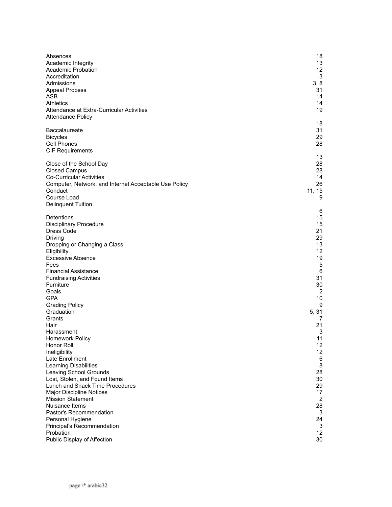| Absences<br>Academic Integrity<br><b>Academic Probation</b><br>Accreditation<br>Admissions<br><b>Appeal Process</b><br>ASB<br>Athletics<br>Attendance at Extra-Curricular Activities<br><b>Attendance Policy</b> | 18<br>13<br>12<br>3<br>3, 8<br>31<br>14<br>14<br>19 |
|------------------------------------------------------------------------------------------------------------------------------------------------------------------------------------------------------------------|-----------------------------------------------------|
| Baccalaureate                                                                                                                                                                                                    | 18                                                  |
| <b>Bicycles</b>                                                                                                                                                                                                  | 31                                                  |
| Cell Phones                                                                                                                                                                                                      | 29                                                  |
| <b>CIF Requirements</b>                                                                                                                                                                                          | 28                                                  |
| Close of the School Day                                                                                                                                                                                          | 13                                                  |
| <b>Closed Campus</b>                                                                                                                                                                                             | 28                                                  |
| <b>Co-Curricular Activities</b>                                                                                                                                                                                  | 28                                                  |
| Computer, Network, and Internet Acceptable Use Policy                                                                                                                                                            | 14                                                  |
| Conduct                                                                                                                                                                                                          | 26                                                  |
| Course Load                                                                                                                                                                                                      | 11, 15                                              |
| <b>Delinquent Tuition</b>                                                                                                                                                                                        | 9                                                   |
| Detentions<br><b>Disciplinary Procedure</b><br>Dress Code<br>Driving<br>Dropping or Changing a Class<br>Eligibility                                                                                              | 6<br>15<br>15<br>21<br>29<br>13<br>12               |
| <b>Excessive Absence</b>                                                                                                                                                                                         | 19                                                  |
| Fees                                                                                                                                                                                                             | 5                                                   |
| <b>Financial Assistance</b>                                                                                                                                                                                      | 6                                                   |
| <b>Fundraising Activities</b>                                                                                                                                                                                    | 31                                                  |
| Furniture                                                                                                                                                                                                        | 30                                                  |
| Goals                                                                                                                                                                                                            | 2                                                   |
| <b>GPA</b>                                                                                                                                                                                                       | 10                                                  |
| <b>Grading Policy</b>                                                                                                                                                                                            | 9                                                   |
| Graduation                                                                                                                                                                                                       | 5, 31                                               |
| Grants                                                                                                                                                                                                           | 7                                                   |
| Hair                                                                                                                                                                                                             | 21                                                  |
| Harassment                                                                                                                                                                                                       | 3                                                   |
| <b>Homework Policy</b>                                                                                                                                                                                           | 11                                                  |
| Honor Roll                                                                                                                                                                                                       | 12                                                  |
| Ineligibility                                                                                                                                                                                                    | 12                                                  |
| Late Enrollment                                                                                                                                                                                                  | 6                                                   |
| Learning Disabilities                                                                                                                                                                                            | 8                                                   |
| Leaving School Grounds                                                                                                                                                                                           | 28                                                  |
| Lost, Stolen, and Found Items                                                                                                                                                                                    | 30                                                  |
| Lunch and Snack Time Procedures                                                                                                                                                                                  | 29                                                  |
| <b>Major Discipline Notices</b>                                                                                                                                                                                  | 17                                                  |
| <b>Mission Statement</b>                                                                                                                                                                                         | 2                                                   |
| Nuisance Items                                                                                                                                                                                                   | 28                                                  |
| Pastor's Recommendation                                                                                                                                                                                          | 3                                                   |
| Personal Hygiene                                                                                                                                                                                                 | 24                                                  |
| Principal's Recommendation                                                                                                                                                                                       | 3                                                   |
| Probation                                                                                                                                                                                                        | 12                                                  |
| Public Display of Affection                                                                                                                                                                                      | 30                                                  |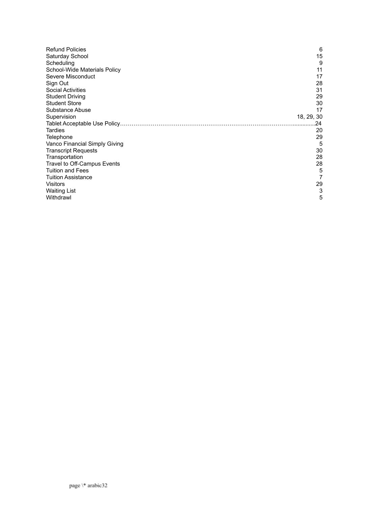| <b>Refund Policies</b>        | 6          |
|-------------------------------|------------|
| Saturday School               | 15         |
| Scheduling                    | 9          |
| School-Wide Materials Policy  | 11         |
| Severe Misconduct             | 17         |
| Sign Out                      | 28         |
| <b>Social Activities</b>      | 31         |
| <b>Student Driving</b>        | 29         |
| <b>Student Store</b>          | 30         |
| Substance Abuse               | 17         |
| Supervision                   | 18, 29, 30 |
|                               | 24         |
| Tardies                       | 20         |
| Telephone                     | 29         |
| Vanco Financial Simply Giving | 5          |
| <b>Transcript Requests</b>    | 30         |
| Transportation                | 28         |
| Travel to Off-Campus Events   | 28         |
| <b>Tuition and Fees</b>       | 5          |
| <b>Tuition Assistance</b>     | 7          |
| <b>Visitors</b>               | 29         |
| <b>Waiting List</b>           | 3          |
| Withdrawl                     | 5          |